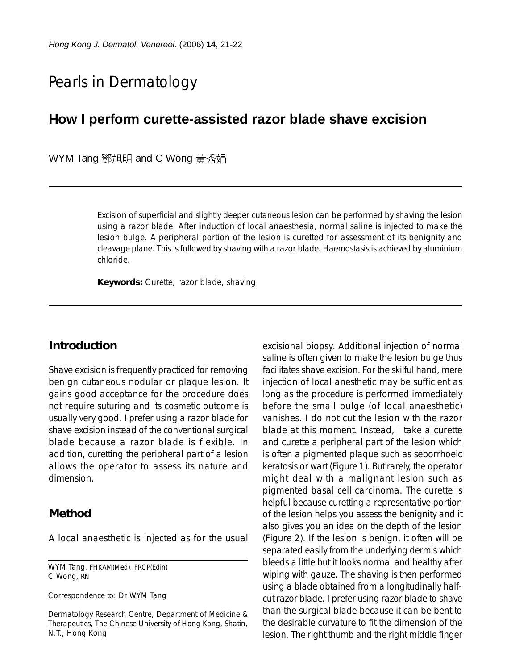# Pearls in Dermatology

# **How I perform curette-assisted razor blade shave excision**

WYM Tang 鄧旭明 and C Wong 黃秀娟

Excision of superficial and slightly deeper cutaneous lesion can be performed by shaving the lesion using a razor blade. After induction of local anaesthesia, normal saline is injected to make the lesion bulge. A peripheral portion of the lesion is curetted for assessment of its benignity and cleavage plane. This is followed by shaving with a razor blade. Haemostasis is achieved by aluminium chloride.

**Keywords:** Curette, razor blade, shaving

### **Introduction**

Shave excision is frequently practiced for removing benign cutaneous nodular or plaque lesion. It gains good acceptance for the procedure does not require suturing and its cosmetic outcome is usually very good. I prefer using a razor blade for shave excision instead of the conventional surgical blade because a razor blade is flexible. In addition, curetting the peripheral part of a lesion allows the operator to assess its nature and dimension.

#### **Method**

A local anaesthetic is injected as for the usual

WYM Tang, FHKAM(Med), FRCP(Edin) C Wong, RN

Correspondence to: Dr WYM Tang

Dermatology Research Centre, Department of Medicine & Therapeutics, The Chinese University of Hong Kong, Shatin, N.T., Hong Kong

excisional biopsy. Additional injection of normal saline is often given to make the lesion bulge thus facilitates shave excision. For the skilful hand, mere injection of local anesthetic may be sufficient as long as the procedure is performed immediately before the small bulge (of local anaesthetic) vanishes. I do not cut the lesion with the razor blade at this moment. Instead, I take a curette and curette a peripheral part of the lesion which is often a pigmented plaque such as seborrhoeic keratosis or wart (Figure 1). But rarely, the operator might deal with a malignant lesion such as pigmented basal cell carcinoma. The curette is helpful because curetting a representative portion of the lesion helps you assess the benignity and it also gives you an idea on the depth of the lesion (Figure 2). If the lesion is benign, it often will be separated easily from the underlying dermis which bleeds a little but it looks normal and healthy after wiping with gauze. The shaving is then performed using a blade obtained from a longitudinally halfcut razor blade. I prefer using razor blade to shave than the surgical blade because it can be bent to the desirable curvature to fit the dimension of the lesion. The right thumb and the right middle finger